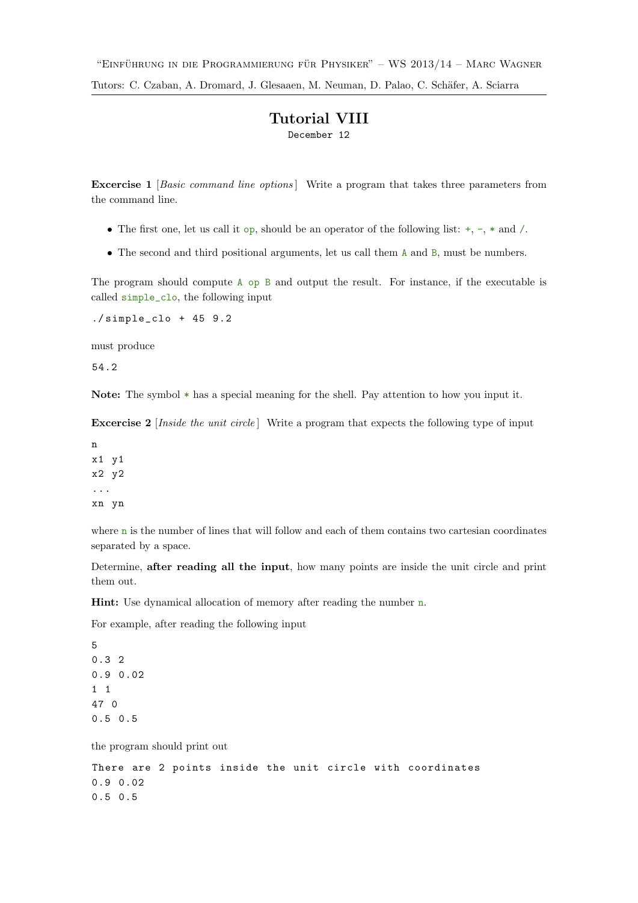## Tutorial VIII December 12

**Excercise 1** [Basic command line options] Write a program that takes three parameters from the command line.

- The first one, let us call it op, should be an operator of the following list:  $+, -, *$  and  $/$ .
- The second and third positional arguments, let us call them A and B, must be numbers.

The program should compute A op B and output the result. For instance, if the executable is called simple\_clo, the following input

 $./$ simple\_clo + 45 9.2

must produce

54.2

Note: The symbol \* has a special meaning for the shell. Pay attention to how you input it.

**Excercise 2** [Inside the unit circle] Write a program that expects the following type of input

n x1 y1 x2 y2 ... xn yn

where n is the number of lines that will follow and each of them contains two cartesian coordinates separated by a space.

Determine, after reading all the input, how many points are inside the unit circle and print them out.

Hint: Use dynamical allocation of memory after reading the number n.

For example, after reading the following input

5 0.3 2 0.9 0.02 1 1 47 0 0.5 0.5

the program should print out

```
There are 2 points inside the unit circle with coordinates
0.9 0.02
0.5 0.5
```